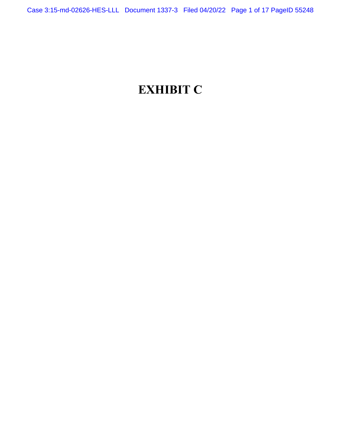# **EXHIBIT C**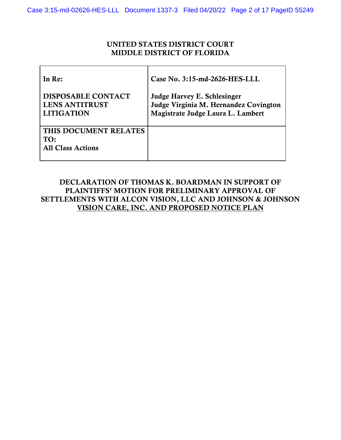## UNITED STATES DISTRICT COURT MIDDLE DISTRICT OF FLORIDA

| In Re:                                                                  | Case No. 3:15-md-2626-HES-LLL                                                                             |
|-------------------------------------------------------------------------|-----------------------------------------------------------------------------------------------------------|
| <b>DISPOSABLE CONTACT</b><br><b>LENS ANTITRUST</b><br><b>LITIGATION</b> | Judge Harvey E. Schlesinger<br>Judge Virginia M. Hernandez Covington<br>Magistrate Judge Laura L. Lambert |
| THIS DOCUMENT RELATES<br>TO:<br><b>All Class Actions</b>                |                                                                                                           |

## DECLARATION OF THOMAS K. BOARDMAN IN SUPPORT OF PLAINTIFFS' MOTION FOR PRELIMINARY APPROVAL OF SETTLEMENTS WITH ALCON VISION, LLC AND JOHNSON & JOHNSON VISION CARE, INC. AND PROPOSED NOTICE PLAN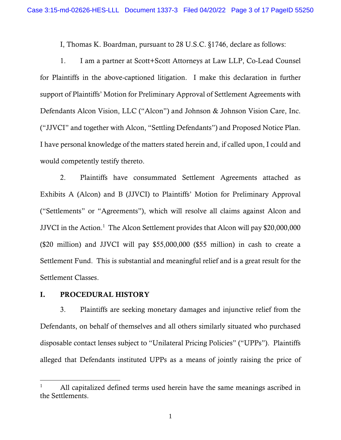I, Thomas K. Boardman, pursuant to 28 U.S.C. §1746, declare as follows:

1. I am a partner at Scott+Scott Attorneys at Law LLP, Co-Lead Counsel for Plaintiffs in the above-captioned litigation. I make this declaration in further support of Plaintiffs' Motion for Preliminary Approval of Settlement Agreements with Defendants Alcon Vision, LLC ("Alcon") and Johnson & Johnson Vision Care, Inc. ("JJVCI" and together with Alcon, "Settling Defendants") and Proposed Notice Plan. I have personal knowledge of the matters stated herein and, if called upon, I could and would competently testify thereto.

2. Plaintiffs have consummated Settlement Agreements attached as Exhibits A (Alcon) and B (JJVCI) to Plaintiffs' Motion for Preliminary Approval ("Settlements" or "Agreements"), which will resolve all claims against Alcon and JJVCI in the Action.<sup>1</sup> The Alcon Settlement provides that Alcon will pay \$20,000,000 (\$20 million) and JJVCI will pay \$55,000,000 (\$55 million) in cash to create a Settlement Fund. This is substantial and meaningful relief and is a great result for the Settlement Classes.

## I. PROCEDURAL HISTORY

3. Plaintiffs are seeking monetary damages and injunctive relief from the Defendants, on behalf of themselves and all others similarly situated who purchased disposable contact lenses subject to "Unilateral Pricing Policies" ("UPPs"). Plaintiffs alleged that Defendants instituted UPPs as a means of jointly raising the price of

All capitalized defined terms used herein have the same meanings ascribed in the Settlements.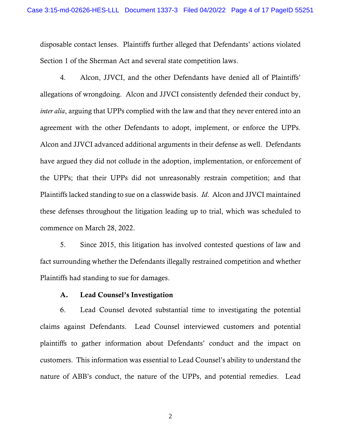disposable contact lenses. Plaintiffs further alleged that Defendants' actions violated Section 1 of the Sherman Act and several state competition laws.

4. Alcon, JJVCI, and the other Defendants have denied all of Plaintiffs' allegations of wrongdoing. Alcon and JJVCI consistently defended their conduct by, *inter alia*, arguing that UPPs complied with the law and that they never entered into an agreement with the other Defendants to adopt, implement, or enforce the UPPs. Alcon and JJVCI advanced additional arguments in their defense as well. Defendants have argued they did not collude in the adoption, implementation, or enforcement of the UPPs; that their UPPs did not unreasonably restrain competition; and that Plaintiffs lacked standing to sue on a classwide basis. *Id*. Alcon and JJVCI maintained these defenses throughout the litigation leading up to trial, which was scheduled to commence on March 28, 2022.

5. Since 2015, this litigation has involved contested questions of law and fact surrounding whether the Defendants illegally restrained competition and whether Plaintiffs had standing to sue for damages.

#### A. Lead Counsel's Investigation

6. Lead Counsel devoted substantial time to investigating the potential claims against Defendants. Lead Counsel interviewed customers and potential plaintiffs to gather information about Defendants' conduct and the impact on customers. This information was essential to Lead Counsel's ability to understand the nature of ABB's conduct, the nature of the UPPs, and potential remedies. Lead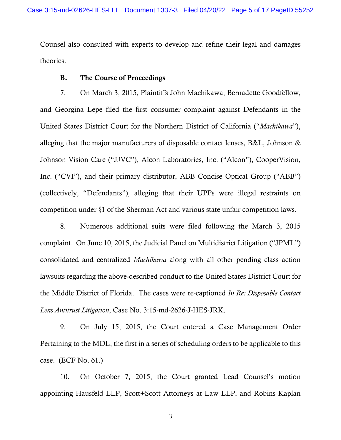Counsel also consulted with experts to develop and refine their legal and damages theories.

## B. The Course of Proceedings

7. On March 3, 2015, Plaintiffs John Machikawa, Bernadette Goodfellow, and Georgina Lepe filed the first consumer complaint against Defendants in the United States District Court for the Northern District of California ("*Machikawa*"), alleging that the major manufacturers of disposable contact lenses, B&L, Johnson & Johnson Vision Care ("JJVC"), Alcon Laboratories, Inc. ("Alcon"), CooperVision, Inc. ("CVI"), and their primary distributor, ABB Concise Optical Group ("ABB") (collectively, "Defendants"), alleging that their UPPs were illegal restraints on competition under §1 of the Sherman Act and various state unfair competition laws.

8. Numerous additional suits were filed following the March 3, 2015 complaint. On June 10, 2015, the Judicial Panel on Multidistrict Litigation ("JPML") consolidated and centralized *Machikawa* along with all other pending class action lawsuits regarding the above-described conduct to the United States District Court for the Middle District of Florida. The cases were re-captioned *In Re: Disposable Contact Lens Antitrust Litigation*, Case No. 3:15-md-2626-J-HES-JRK.

9. On July 15, 2015, the Court entered a Case Management Order Pertaining to the MDL, the first in a series of scheduling orders to be applicable to this case. (ECF No. 61.)

10. On October 7, 2015, the Court granted Lead Counsel's motion appointing Hausfeld LLP, Scott+Scott Attorneys at Law LLP, and Robins Kaplan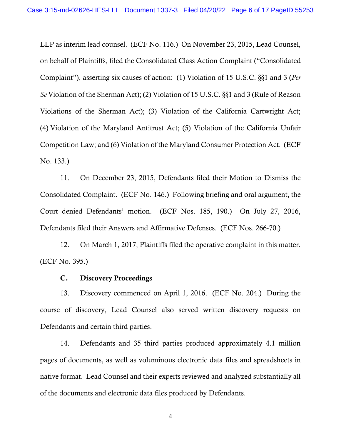LLP as interim lead counsel. (ECF No. 116.) On November 23, 2015, Lead Counsel, on behalf of Plaintiffs, filed the Consolidated Class Action Complaint ("Consolidated Complaint"), asserting six causes of action: (1) Violation of 15 U.S.C. §§1 and 3 (*Per Se* Violation of the Sherman Act); (2) Violation of 15 U.S.C. §§1 and 3 (Rule of Reason Violations of the Sherman Act); (3) Violation of the California Cartwright Act; (4) Violation of the Maryland Antitrust Act; (5) Violation of the California Unfair Competition Law; and (6) Violation of the Maryland Consumer Protection Act. (ECF No. 133.)

11. On December 23, 2015, Defendants filed their Motion to Dismiss the Consolidated Complaint. (ECF No. 146.) Following briefing and oral argument, the Court denied Defendants' motion. (ECF Nos. 185, 190.) On July 27, 2016, Defendants filed their Answers and Affirmative Defenses. (ECF Nos. 266-70.)

12. On March 1, 2017, Plaintiffs filed the operative complaint in this matter. (ECF No. 395.)

#### C. Discovery Proceedings

13. Discovery commenced on April 1, 2016. (ECF No. 204.) During the course of discovery, Lead Counsel also served written discovery requests on Defendants and certain third parties.

14. Defendants and 35 third parties produced approximately 4.1 million pages of documents, as well as voluminous electronic data files and spreadsheets in native format. Lead Counsel and their experts reviewed and analyzed substantially all of the documents and electronic data files produced by Defendants.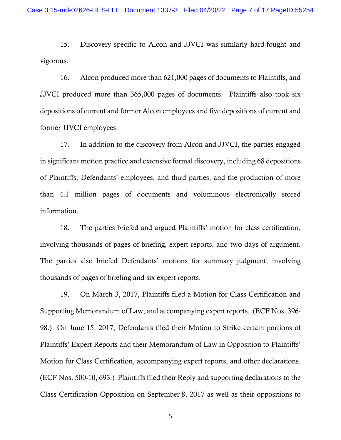15. Discovery specific to Alcon and JJVCI was similarly hard-fought and vigorous.

16. Alcon produced more than 621,000 pages of documents to Plaintiffs, and JJVCI produced more than 365,000 pages of documents. Plaintiffs also took six depositions of current and former Alcon employees and five depositions of current and former JJVCI employees.

17. In addition to the discovery from Alcon and JJVCI, the parties engaged in significant motion practice and extensive formal discovery, including 68 depositions of Plaintiffs, Defendants' employees, and third parties, and the production of more than 4.1 million pages of documents and voluminous electronically stored information.

18. The parties briefed and argued Plaintiffs' motion for class certification, involving thousands of pages of briefing, expert reports, and two days of argument. The parties also briefed Defendants' motions for summary judgment, involving thousands of pages of briefing and six expert reports.

19. On March 3, 2017, Plaintiffs filed a Motion for Class Certification and Supporting Memorandum of Law, and accompanying expert reports. (ECF Nos. 396- 98.) On June 15, 2017, Defendants filed their Motion to Strike certain portions of Plaintiffs' Expert Reports and their Memorandum of Law in Opposition to Plaintiffs' Motion for Class Certification, accompanying expert reports, and other declarations. (ECF Nos. 500-10, 693.) Plaintiffs filed their Reply and supporting declarations to the Class Certification Opposition on September 8, 2017 as well as their oppositions to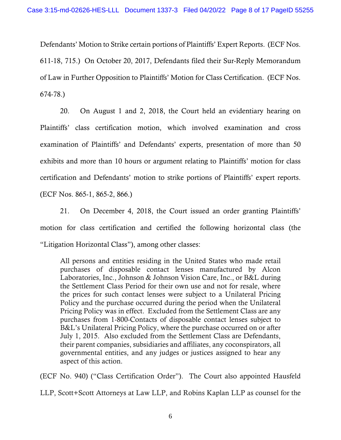Defendants' Motion to Strike certain portions of Plaintiffs' Expert Reports. (ECF Nos. 611-18, 715.) On October 20, 2017, Defendants filed their Sur-Reply Memorandum of Law in Further Opposition to Plaintiffs' Motion for Class Certification. (ECF Nos. 674-78.)

20. On August 1 and 2, 2018, the Court held an evidentiary hearing on Plaintiffs' class certification motion, which involved examination and cross examination of Plaintiffs' and Defendants' experts, presentation of more than 50 exhibits and more than 10 hours or argument relating to Plaintiffs' motion for class certification and Defendants' motion to strike portions of Plaintiffs' expert reports. (ECF Nos. 865-1, 865-2, 866.)

21. On December 4, 2018, the Court issued an order granting Plaintiffs' motion for class certification and certified the following horizontal class (the "Litigation Horizontal Class"), among other classes:

All persons and entities residing in the United States who made retail purchases of disposable contact lenses manufactured by Alcon Laboratories, Inc., Johnson & Johnson Vision Care, Inc., or B&L during the Settlement Class Period for their own use and not for resale, where the prices for such contact lenses were subject to a Unilateral Pricing Policy and the purchase occurred during the period when the Unilateral Pricing Policy was in effect. Excluded from the Settlement Class are any purchases from 1-800-Contacts of disposable contact lenses subject to B&L's Unilateral Pricing Policy, where the purchase occurred on or after July 1, 2015. Also excluded from the Settlement Class are Defendants, their parent companies, subsidiaries and affiliates, any coconspirators, all governmental entities, and any judges or justices assigned to hear any aspect of this action.

(ECF No. 940) ("Class Certification Order"). The Court also appointed Hausfeld

LLP, Scott+Scott Attorneys at Law LLP, and Robins Kaplan LLP as counsel for the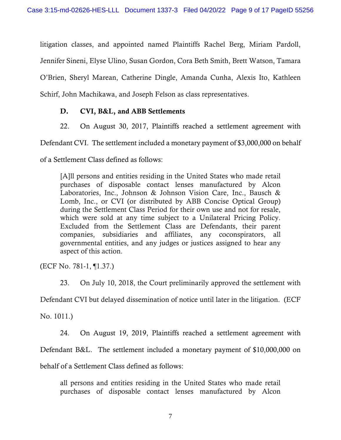litigation classes, and appointed named Plaintiffs Rachel Berg, Miriam Pardoll, Jennifer Sineni, Elyse Ulino, Susan Gordon, Cora Beth Smith, Brett Watson, Tamara O'Brien, Sheryl Marean, Catherine Dingle, Amanda Cunha, Alexis Ito, Kathleen Schirf, John Machikawa, and Joseph Felson as class representatives.

## D. CVI, B&L, and ABB Settlements

22. On August 30, 2017, Plaintiffs reached a settlement agreement with

Defendant CVI. The settlement included a monetary payment of \$3,000,000 on behalf

of a Settlement Class defined as follows:

[A]ll persons and entities residing in the United States who made retail purchases of disposable contact lenses manufactured by Alcon Laboratories, Inc., Johnson & Johnson Vision Care, Inc., Bausch & Lomb, Inc., or CVI (or distributed by ABB Concise Optical Group) during the Settlement Class Period for their own use and not for resale, which were sold at any time subject to a Unilateral Pricing Policy. Excluded from the Settlement Class are Defendants, their parent companies, subsidiaries and affiliates, any coconspirators, all governmental entities, and any judges or justices assigned to hear any aspect of this action.

(ECF No. 781-1, ¶1.37.)

23. On July 10, 2018, the Court preliminarily approved the settlement with

Defendant CVI but delayed dissemination of notice until later in the litigation. (ECF

No. 1011.)

24. On August 19, 2019, Plaintiffs reached a settlement agreement with Defendant B&L. The settlement included a monetary payment of \$10,000,000 on behalf of a Settlement Class defined as follows:

all persons and entities residing in the United States who made retail purchases of disposable contact lenses manufactured by Alcon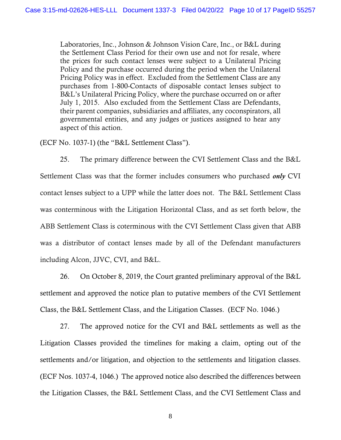Laboratories, Inc., Johnson & Johnson Vision Care, Inc., or B&L during the Settlement Class Period for their own use and not for resale, where the prices for such contact lenses were subject to a Unilateral Pricing Policy and the purchase occurred during the period when the Unilateral Pricing Policy was in effect. Excluded from the Settlement Class are any purchases from 1-800-Contacts of disposable contact lenses subject to B&L's Unilateral Pricing Policy, where the purchase occurred on or after July 1, 2015. Also excluded from the Settlement Class are Defendants, their parent companies, subsidiaries and affiliates, any coconspirators, all governmental entities, and any judges or justices assigned to hear any aspect of this action.

(ECF No. 1037-1) (the "B&L Settlement Class").

25. The primary difference between the CVI Settlement Class and the B&L Settlement Class was that the former includes consumers who purchased *only* CVI contact lenses subject to a UPP while the latter does not. The B&L Settlement Class was conterminous with the Litigation Horizontal Class, and as set forth below, the ABB Settlement Class is coterminous with the CVI Settlement Class given that ABB was a distributor of contact lenses made by all of the Defendant manufacturers including Alcon, JJVC, CVI, and B&L.

26. On October 8, 2019, the Court granted preliminary approval of the B&L settlement and approved the notice plan to putative members of the CVI Settlement Class, the B&L Settlement Class, and the Litigation Classes. (ECF No. 1046.)

27. The approved notice for the CVI and B&L settlements as well as the Litigation Classes provided the timelines for making a claim, opting out of the settlements and/or litigation, and objection to the settlements and litigation classes. (ECF Nos. 1037-4, 1046.) The approved notice also described the differences between the Litigation Classes, the B&L Settlement Class, and the CVI Settlement Class and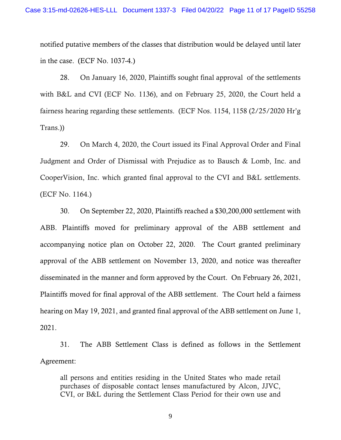notified putative members of the classes that distribution would be delayed until later in the case. (ECF No. 1037-4.)

28. On January 16, 2020, Plaintiffs sought final approval of the settlements with B&L and CVI (ECF No. 1136), and on February 25, 2020, the Court held a fairness hearing regarding these settlements. (ECF Nos. 1154, 1158 (2/25/2020 Hr'g Trans.))

29. On March 4, 2020, the Court issued its Final Approval Order and Final Judgment and Order of Dismissal with Prejudice as to Bausch & Lomb, Inc. and CooperVision, Inc. which granted final approval to the CVI and B&L settlements. (ECF No. 1164.)

30. On September 22, 2020, Plaintiffs reached a \$30,200,000 settlement with ABB. Plaintiffs moved for preliminary approval of the ABB settlement and accompanying notice plan on October 22, 2020. The Court granted preliminary approval of the ABB settlement on November 13, 2020, and notice was thereafter disseminated in the manner and form approved by the Court. On February 26, 2021, Plaintiffs moved for final approval of the ABB settlement. The Court held a fairness hearing on May 19, 2021, and granted final approval of the ABB settlement on June 1, 2021.

31. The ABB Settlement Class is defined as follows in the Settlement Agreement:

all persons and entities residing in the United States who made retail purchases of disposable contact lenses manufactured by Alcon, JJVC, CVI, or B&L during the Settlement Class Period for their own use and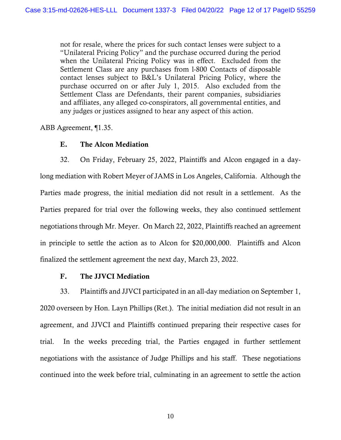not for resale, where the prices for such contact lenses were subject to a "Unilateral Pricing Policy" and the purchase occurred during the period when the Unilateral Pricing Policy was in effect. Excluded from the Settlement Class are any purchases from l-800 Contacts of disposable contact lenses subject to B&L's Unilateral Pricing Policy, where the purchase occurred on or after July 1, 2015. Also excluded from the Settlement Class are Defendants, their parent companies, subsidiaries and affiliates, any alleged co-conspirators, all governmental entities, and any judges or justices assigned to hear any aspect of this action.

ABB Agreement, ¶1.35.

## E. The Alcon Mediation

32. On Friday, February 25, 2022, Plaintiffs and Alcon engaged in a daylong mediation with Robert Meyer of JAMS in Los Angeles, California. Although the Parties made progress, the initial mediation did not result in a settlement. As the Parties prepared for trial over the following weeks, they also continued settlement negotiations through Mr. Meyer. On March 22, 2022, Plaintiffs reached an agreement in principle to settle the action as to Alcon for \$20,000,000. Plaintiffs and Alcon finalized the settlement agreement the next day, March 23, 2022.

### F. The JJVCI Mediation

33. Plaintiffs and JJVCI participated in an all-day mediation on September 1, 2020 overseen by Hon. Layn Phillips (Ret.). The initial mediation did not result in an agreement, and JJVCI and Plaintiffs continued preparing their respective cases for trial. In the weeks preceding trial, the Parties engaged in further settlement negotiations with the assistance of Judge Phillips and his staff. These negotiations continued into the week before trial, culminating in an agreement to settle the action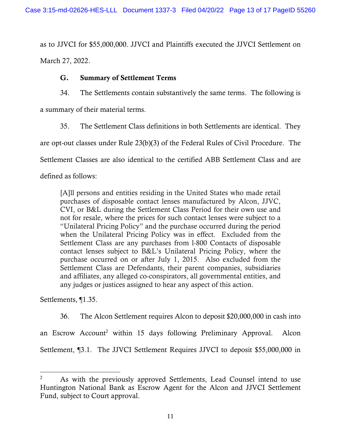as to JJVCI for \$55,000,000. JJVCI and Plaintiffs executed the JJVCI Settlement on March 27, 2022.

## G. Summary of Settlement Terms

34. The Settlements contain substantively the same terms. The following is

a summary of their material terms.

35. The Settlement Class definitions in both Settlements are identical. They

are opt-out classes under Rule 23(b)(3) of the Federal Rules of Civil Procedure. The

Settlement Classes are also identical to the certified ABB Settlement Class and are

defined as follows:

[A]ll persons and entities residing in the United States who made retail purchases of disposable contact lenses manufactured by Alcon, JJVC, CVI, or B&L during the Settlement Class Period for their own use and not for resale, where the prices for such contact lenses were subject to a "Unilateral Pricing Policy" and the purchase occurred during the period when the Unilateral Pricing Policy was in effect. Excluded from the Settlement Class are any purchases from l-800 Contacts of disposable contact lenses subject to B&L's Unilateral Pricing Policy, where the purchase occurred on or after July 1, 2015. Also excluded from the Settlement Class are Defendants, their parent companies, subsidiaries and affiliates, any alleged co-conspirators, all governmental entities, and any judges or justices assigned to hear any aspect of this action.

Settlements, ¶1.35.

36. The Alcon Settlement requires Alcon to deposit \$20,000,000 in cash into

an Escrow Account<sup>2</sup> within 15 days following Preliminary Approval. Alcon Settlement, ¶3.1. The JJVCI Settlement Requires JJVCI to deposit \$55,000,000 in

<sup>&</sup>lt;sup>2</sup> As with the previously approved Settlements, Lead Counsel intend to use Huntington National Bank as Escrow Agent for the Alcon and JJVCI Settlement Fund, subject to Court approval.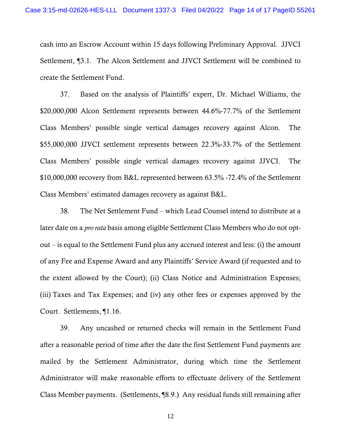cash into an Escrow Account within 15 days following Preliminary Approval. JJVCI Settlement, ¶3.1. The Alcon Settlement and JJVCI Settlement will be combined to create the Settlement Fund.

37. Based on the analysis of Plaintiffs' expert, Dr. Michael Williams, the \$20,000,000 Alcon Settlement represents between 44.6%-77.7% of the Settlement Class Members' possible single vertical damages recovery against Alcon. The \$55,000,000 JJVCI settlement represents between 22.3%-33.7% of the Settlement Class Members' possible single vertical damages recovery against JJVCI. The \$10,000,000 recovery from B&L represented between 63.5% -72.4% of the Settlement Class Members' estimated damages recovery as against B&L.

38. The Net Settlement Fund – which Lead Counsel intend to distribute at a later date on a *pro rata* basis among eligible Settlement Class Members who do not optout  $-$  is equal to the Settlement Fund plus any accrued interest and less: (i) the amount of any Fee and Expense Award and any Plaintiffs' Service Award (if requested and to the extent allowed by the Court); (ii) Class Notice and Administration Expenses; (iii) Taxes and Tax Expenses; and (iv) any other fees or expenses approved by the Court. Settlements, ¶1.16.

39. Any uncashed or returned checks will remain in the Settlement Fund after a reasonable period of time after the date the first Settlement Fund payments are mailed by the Settlement Administrator, during which time the Settlement Administrator will make reasonable efforts to effectuate delivery of the Settlement Class Member payments. (Settlements, ¶8.9.) Any residual funds still remaining after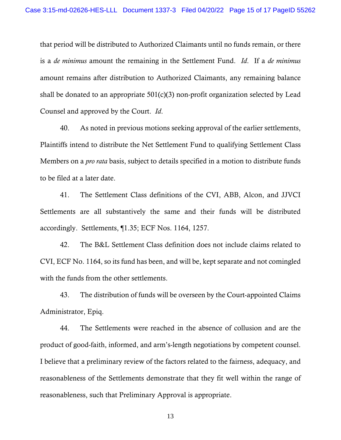that period will be distributed to Authorized Claimants until no funds remain, or there is a *de minimus* amount the remaining in the Settlement Fund. *Id*. If a *de minimus*  amount remains after distribution to Authorized Claimants, any remaining balance shall be donated to an appropriate 501(c)(3) non-profit organization selected by Lead Counsel and approved by the Court. *Id*.

40. As noted in previous motions seeking approval of the earlier settlements, Plaintiffs intend to distribute the Net Settlement Fund to qualifying Settlement Class Members on a *pro rata* basis, subject to details specified in a motion to distribute funds to be filed at a later date.

41. The Settlement Class definitions of the CVI, ABB, Alcon, and JJVCI Settlements are all substantively the same and their funds will be distributed accordingly. Settlements, ¶1.35; ECF Nos. 1164, 1257.

42. The B&L Settlement Class definition does not include claims related to CVI, ECF No. 1164, so its fund has been, and will be, kept separate and not comingled with the funds from the other settlements.

43. The distribution of funds will be overseen by the Court-appointed Claims Administrator, Epiq.

44. The Settlements were reached in the absence of collusion and are the product of good-faith, informed, and arm's-length negotiations by competent counsel. I believe that a preliminary review of the factors related to the fairness, adequacy, and reasonableness of the Settlements demonstrate that they fit well within the range of reasonableness, such that Preliminary Approval is appropriate.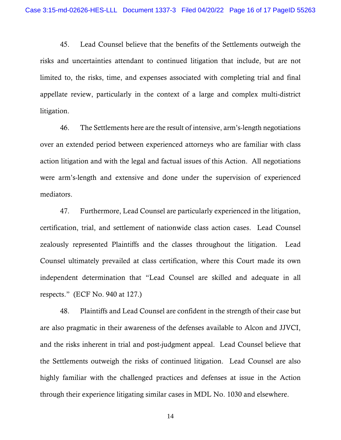45. Lead Counsel believe that the benefits of the Settlements outweigh the risks and uncertainties attendant to continued litigation that include, but are not limited to, the risks, time, and expenses associated with completing trial and final appellate review, particularly in the context of a large and complex multi-district litigation.

46. The Settlements here are the result of intensive, arm's-length negotiations over an extended period between experienced attorneys who are familiar with class action litigation and with the legal and factual issues of this Action. All negotiations were arm's-length and extensive and done under the supervision of experienced mediators.

47. Furthermore, Lead Counsel are particularly experienced in the litigation, certification, trial, and settlement of nationwide class action cases. Lead Counsel zealously represented Plaintiffs and the classes throughout the litigation. Lead Counsel ultimately prevailed at class certification, where this Court made its own independent determination that "Lead Counsel are skilled and adequate in all respects." (ECF No. 940 at 127.)

48. Plaintiffs and Lead Counsel are confident in the strength of their case but are also pragmatic in their awareness of the defenses available to Alcon and JJVCI, and the risks inherent in trial and post-judgment appeal. Lead Counsel believe that the Settlements outweigh the risks of continued litigation. Lead Counsel are also highly familiar with the challenged practices and defenses at issue in the Action through their experience litigating similar cases in MDL No. 1030 and elsewhere.